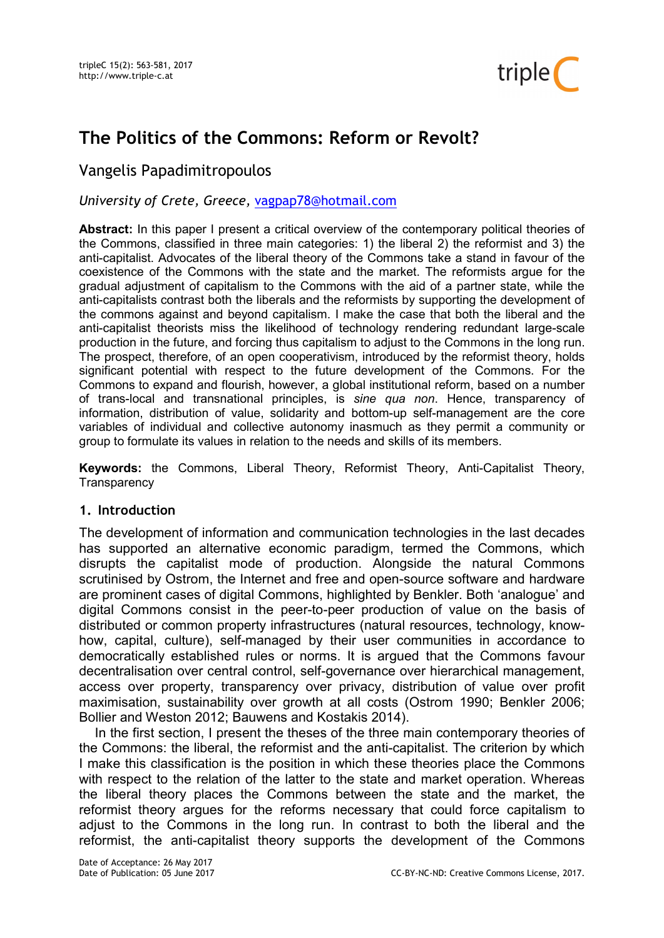

# The Politics of the Commons: Reform or Revolt?

# Vangelis Papadimitropoulos

University of Crete, Greece, vagpap78@hotmail.com

Abstract: In this paper I present a critical overview of the contemporary political theories of the Commons, classified in three main categories: 1) the liberal 2) the reformist and 3) the anti-capitalist. Advocates of the liberal theory of the Commons take a stand in favour of the coexistence of the Commons with the state and the market. The reformists argue for the gradual adjustment of capitalism to the Commons with the aid of a partner state, while the anti-capitalists contrast both the liberals and the reformists by supporting the development of the commons against and beyond capitalism. I make the case that both the liberal and the anti-capitalist theorists miss the likelihood of technology rendering redundant large-scale production in the future, and forcing thus capitalism to adjust to the Commons in the long run. The prospect, therefore, of an open cooperativism, introduced by the reformist theory, holds significant potential with respect to the future development of the Commons. For the Commons to expand and flourish, however, a global institutional reform, based on a number of trans-local and transnational principles, is sine qua non. Hence, transparency of information, distribution of value, solidarity and bottom-up self-management are the core variables of individual and collective autonomy inasmuch as they permit a community or group to formulate its values in relation to the needs and skills of its members.

Keywords: the Commons, Liberal Theory, Reformist Theory, Anti-Capitalist Theory, **Transparency** 

#### 1. Introduction

The development of information and communication technologies in the last decades has supported an alternative economic paradigm, termed the Commons, which disrupts the capitalist mode of production. Alongside the natural Commons scrutinised by Ostrom, the Internet and free and open-source software and hardware are prominent cases of digital Commons, highlighted by Benkler. Both 'analogue' and digital Commons consist in the peer-to-peer production of value on the basis of distributed or common property infrastructures (natural resources, technology, knowhow, capital, culture), self-managed by their user communities in accordance to democratically established rules or norms. It is argued that the Commons favour decentralisation over central control, self-governance over hierarchical management, access over property, transparency over privacy, distribution of value over profit maximisation, sustainability over growth at all costs (Ostrom 1990; Benkler 2006; Bollier and Weston 2012; Bauwens and Kostakis 2014).

In the first section, I present the theses of the three main contemporary theories of the Commons: the liberal, the reformist and the anti-capitalist. The criterion by which I make this classification is the position in which these theories place the Commons with respect to the relation of the latter to the state and market operation. Whereas the liberal theory places the Commons between the state and the market, the reformist theory argues for the reforms necessary that could force capitalism to adjust to the Commons in the long run. In contrast to both the liberal and the reformist, the anti-capitalist theory supports the development of the Commons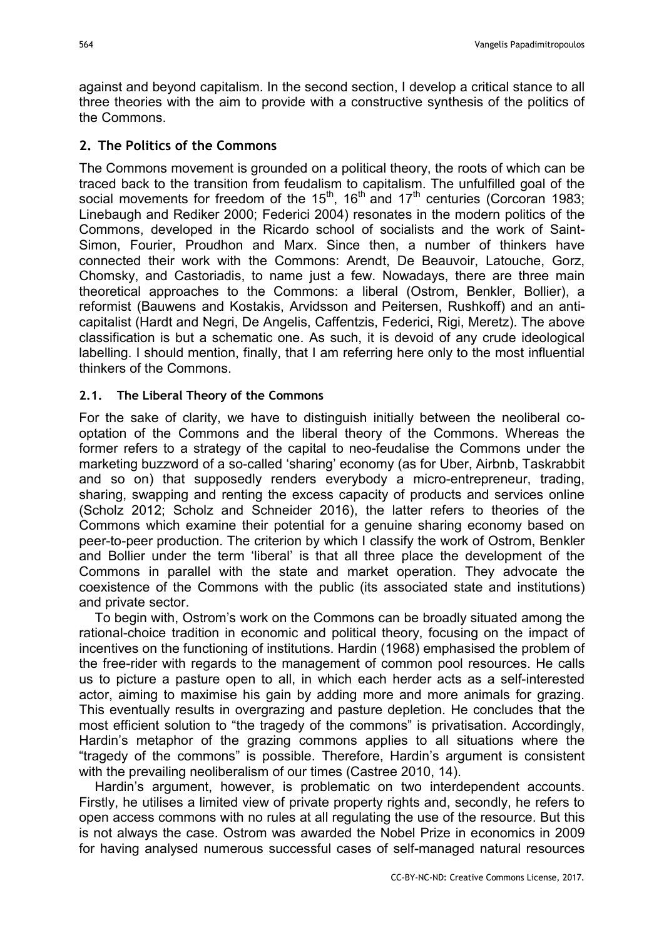against and beyond capitalism. In the second section, I develop a critical stance to all three theories with the aim to provide with a constructive synthesis of the politics of the Commons.

# 2. The Politics of the Commons

The Commons movement is grounded on a political theory, the roots of which can be traced back to the transition from feudalism to capitalism. The unfulfilled goal of the social movements for freedom of the  $15<sup>th</sup>$ , 16<sup>th</sup> and  $17<sup>th</sup>$  centuries (Corcoran 1983; Linebaugh and Rediker 2000; Federici 2004) resonates in the modern politics of the Commons, developed in the Ricardo school of socialists and the work of Saint-Simon, Fourier, Proudhon and Marx. Since then, a number of thinkers have connected their work with the Commons: Arendt, De Beauvoir, Latouche, Gorz, Chomsky, and Castoriadis, to name just a few. Nowadays, there are three main theoretical approaches to the Commons: a liberal (Ostrom, Benkler, Bollier), a reformist (Bauwens and Kostakis, Arvidsson and Peitersen, Rushkoff) and an anticapitalist (Hardt and Negri, De Angelis, Caffentzis, Federici, Rigi, Meretz). The above classification is but a schematic one. As such, it is devoid of any crude ideological labelling. I should mention, finally, that I am referring here only to the most influential thinkers of the Commons.

# 2.1. The Liberal Theory of the Commons

For the sake of clarity, we have to distinguish initially between the neoliberal cooptation of the Commons and the liberal theory of the Commons. Whereas the former refers to a strategy of the capital to neo-feudalise the Commons under the marketing buzzword of a so-called 'sharing' economy (as for Uber, Airbnb, Taskrabbit and so on) that supposedly renders everybody a micro-entrepreneur, trading, sharing, swapping and renting the excess capacity of products and services online (Scholz 2012; Scholz and Schneider 2016), the latter refers to theories of the Commons which examine their potential for a genuine sharing economy based on peer-to-peer production. The criterion by which I classify the work of Ostrom, Benkler and Bollier under the term 'liberal' is that all three place the development of the Commons in parallel with the state and market operation. They advocate the coexistence of the Commons with the public (its associated state and institutions) and private sector.

To begin with, Ostrom's work on the Commons can be broadly situated among the rational-choice tradition in economic and political theory, focusing on the impact of incentives on the functioning of institutions. Hardin (1968) emphasised the problem of the free-rider with regards to the management of common pool resources. He calls us to picture a pasture open to all, in which each herder acts as a self-interested actor, aiming to maximise his gain by adding more and more animals for grazing. This eventually results in overgrazing and pasture depletion. He concludes that the most efficient solution to "the tragedy of the commons" is privatisation. Accordingly, Hardin's metaphor of the grazing commons applies to all situations where the "tragedy of the commons" is possible. Therefore, Hardin's argument is consistent with the prevailing neoliberalism of our times (Castree 2010, 14).

Hardin's argument, however, is problematic on two interdependent accounts. Firstly, he utilises a limited view of private property rights and, secondly, he refers to open access commons with no rules at all regulating the use of the resource. But this is not always the case. Ostrom was awarded the Nobel Prize in economics in 2009 for having analysed numerous successful cases of self-managed natural resources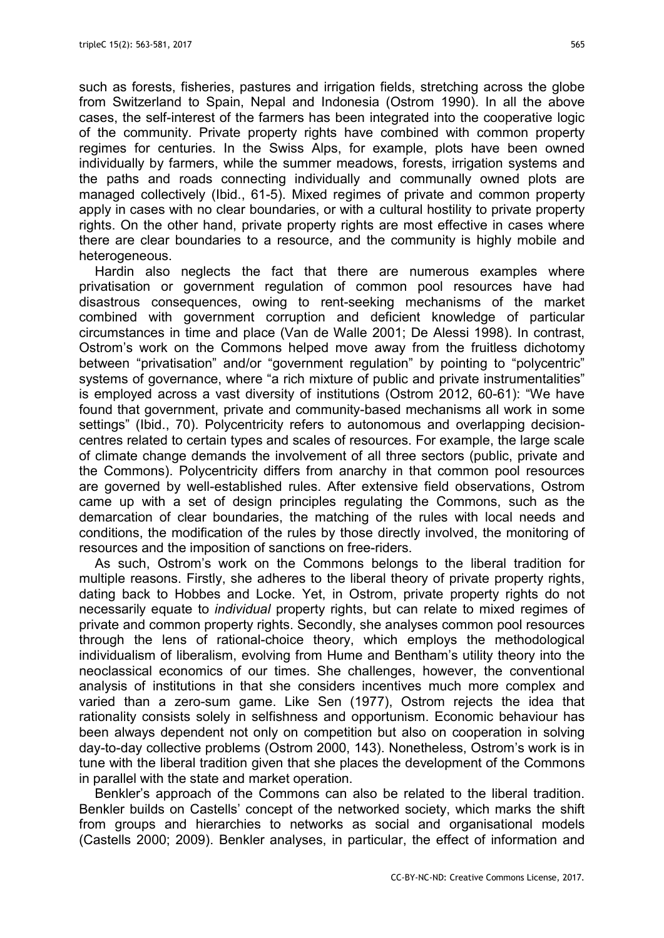such as forests, fisheries, pastures and irrigation fields, stretching across the globe from Switzerland to Spain, Nepal and Indonesia (Ostrom 1990). In all the above cases, the self-interest of the farmers has been integrated into the cooperative logic of the community. Private property rights have combined with common property regimes for centuries. In the Swiss Alps, for example, plots have been owned individually by farmers, while the summer meadows, forests, irrigation systems and the paths and roads connecting individually and communally owned plots are managed collectively (Ibid., 61-5). Mixed regimes of private and common property apply in cases with no clear boundaries, or with a cultural hostility to private property rights. On the other hand, private property rights are most effective in cases where there are clear boundaries to a resource, and the community is highly mobile and heterogeneous.

Hardin also neglects the fact that there are numerous examples where privatisation or government regulation of common pool resources have had disastrous consequences, owing to rent-seeking mechanisms of the market combined with government corruption and deficient knowledge of particular circumstances in time and place (Van de Walle 2001; De Alessi 1998). In contrast, Ostrom's work on the Commons helped move away from the fruitless dichotomy between "privatisation" and/or "government regulation" by pointing to "polycentric" systems of governance, where "a rich mixture of public and private instrumentalities" is employed across a vast diversity of institutions (Ostrom 2012, 60-61): "We have found that government, private and community-based mechanisms all work in some settings" (Ibid., 70). Polycentricity refers to autonomous and overlapping decisioncentres related to certain types and scales of resources. For example, the large scale of climate change demands the involvement of all three sectors (public, private and the Commons). Polycentricity differs from anarchy in that common pool resources are governed by well-established rules. After extensive field observations, Ostrom came up with a set of design principles regulating the Commons, such as the demarcation of clear boundaries, the matching of the rules with local needs and conditions, the modification of the rules by those directly involved, the monitoring of resources and the imposition of sanctions on free-riders.

As such, Ostrom's work on the Commons belongs to the liberal tradition for multiple reasons. Firstly, she adheres to the liberal theory of private property rights, dating back to Hobbes and Locke. Yet, in Ostrom, private property rights do not necessarily equate to individual property rights, but can relate to mixed regimes of private and common property rights. Secondly, she analyses common pool resources through the lens of rational-choice theory, which employs the methodological individualism of liberalism, evolving from Hume and Bentham's utility theory into the neoclassical economics of our times. She challenges, however, the conventional analysis of institutions in that she considers incentives much more complex and varied than a zero-sum game. Like Sen (1977), Ostrom rejects the idea that rationality consists solely in selfishness and opportunism. Economic behaviour has been always dependent not only on competition but also on cooperation in solving day-to-day collective problems (Ostrom 2000, 143). Nonetheless, Ostrom's work is in tune with the liberal tradition given that she places the development of the Commons in parallel with the state and market operation.

Benkler's approach of the Commons can also be related to the liberal tradition. Benkler builds on Castells' concept of the networked society, which marks the shift from groups and hierarchies to networks as social and organisational models (Castells 2000; 2009). Benkler analyses, in particular, the effect of information and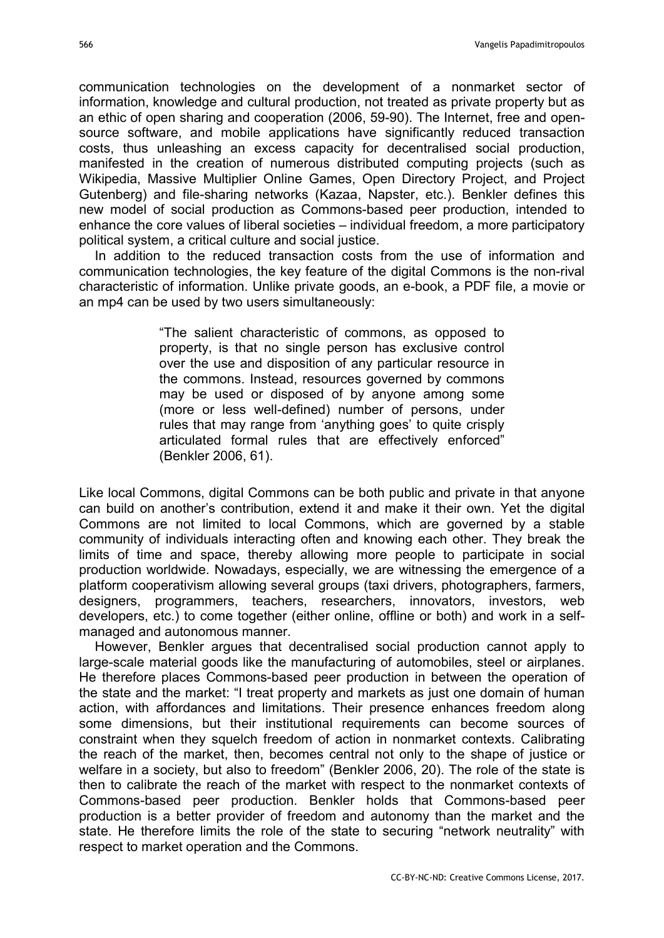communication technologies on the development of a nonmarket sector of information, knowledge and cultural production, not treated as private property but as an ethic of open sharing and cooperation (2006, 59-90). The Internet, free and opensource software, and mobile applications have significantly reduced transaction costs, thus unleashing an excess capacity for decentralised social production, manifested in the creation of numerous distributed computing projects (such as Wikipedia, Massive Multiplier Online Games, Open Directory Project, and Project Gutenberg) and file-sharing networks (Kazaa, Napster, etc.). Benkler defines this new model of social production as Commons-based peer production, intended to enhance the core values of liberal societies – individual freedom, a more participatory political system, a critical culture and social justice.

In addition to the reduced transaction costs from the use of information and communication technologies, the key feature of the digital Commons is the non-rival characteristic of information. Unlike private goods, an e-book, a PDF file, a movie or an mp4 can be used by two users simultaneously:

> "The salient characteristic of commons, as opposed to property, is that no single person has exclusive control over the use and disposition of any particular resource in the commons. Instead, resources governed by commons may be used or disposed of by anyone among some (more or less well-defined) number of persons, under rules that may range from 'anything goes' to quite crisply articulated formal rules that are effectively enforced" (Benkler 2006, 61).

Like local Commons, digital Commons can be both public and private in that anyone can build on another's contribution, extend it and make it their own. Yet the digital Commons are not limited to local Commons, which are governed by a stable community of individuals interacting often and knowing each other. They break the limits of time and space, thereby allowing more people to participate in social production worldwide. Nowadays, especially, we are witnessing the emergence of a platform cooperativism allowing several groups (taxi drivers, photographers, farmers, designers, programmers, teachers, researchers, innovators, investors, web developers, etc.) to come together (either online, offline or both) and work in a selfmanaged and autonomous manner.

However, Benkler argues that decentralised social production cannot apply to large-scale material goods like the manufacturing of automobiles, steel or airplanes. He therefore places Commons-based peer production in between the operation of the state and the market: "I treat property and markets as just one domain of human action, with affordances and limitations. Their presence enhances freedom along some dimensions, but their institutional requirements can become sources of constraint when they squelch freedom of action in nonmarket contexts. Calibrating the reach of the market, then, becomes central not only to the shape of justice or welfare in a society, but also to freedom" (Benkler 2006, 20). The role of the state is then to calibrate the reach of the market with respect to the nonmarket contexts of Commons-based peer production. Benkler holds that Commons-based peer production is a better provider of freedom and autonomy than the market and the state. He therefore limits the role of the state to securing "network neutrality" with respect to market operation and the Commons.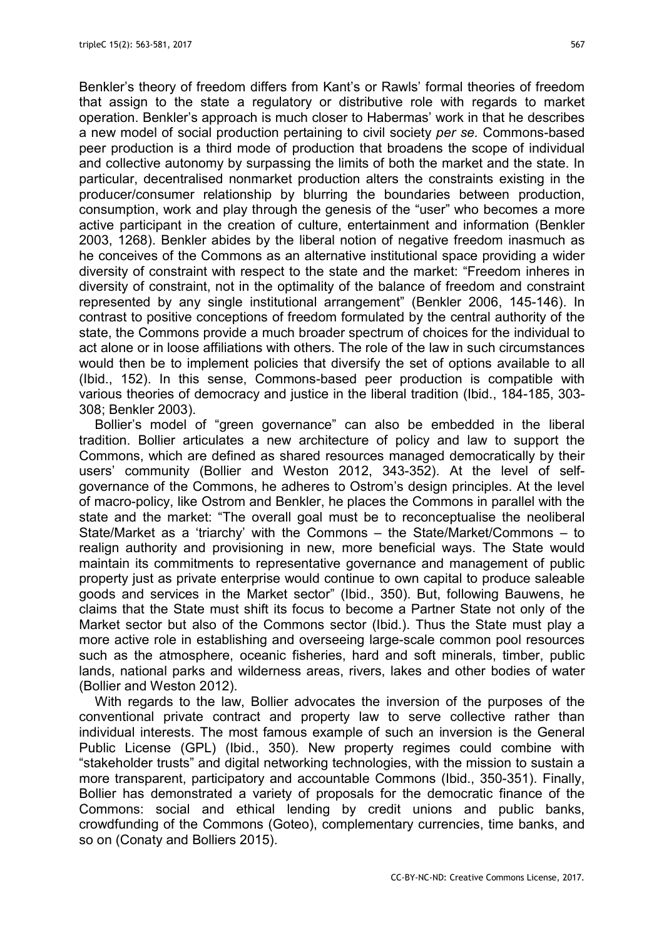Benkler's theory of freedom differs from Kant's or Rawls' formal theories of freedom that assign to the state a regulatory or distributive role with regards to market operation. Benkler's approach is much closer to Habermas' work in that he describes a new model of social production pertaining to civil society per se. Commons-based peer production is a third mode of production that broadens the scope of individual and collective autonomy by surpassing the limits of both the market and the state. In particular, decentralised nonmarket production alters the constraints existing in the producer/consumer relationship by blurring the boundaries between production, consumption, work and play through the genesis of the "user" who becomes a more active participant in the creation of culture, entertainment and information (Benkler 2003, 1268). Benkler abides by the liberal notion of negative freedom inasmuch as he conceives of the Commons as an alternative institutional space providing a wider diversity of constraint with respect to the state and the market: "Freedom inheres in diversity of constraint, not in the optimality of the balance of freedom and constraint represented by any single institutional arrangement" (Benkler 2006, 145-146). In contrast to positive conceptions of freedom formulated by the central authority of the state, the Commons provide a much broader spectrum of choices for the individual to act alone or in loose affiliations with others. The role of the law in such circumstances would then be to implement policies that diversify the set of options available to all (Ibid., 152). In this sense, Commons-based peer production is compatible with various theories of democracy and justice in the liberal tradition (Ibid., 184-185, 303- 308; Benkler 2003).

Bollier's model of "green governance" can also be embedded in the liberal tradition. Bollier articulates a new architecture of policy and law to support the Commons, which are defined as shared resources managed democratically by their users' community (Bollier and Weston 2012, 343-352). At the level of selfgovernance of the Commons, he adheres to Ostrom's design principles. At the level of macro-policy, like Ostrom and Benkler, he places the Commons in parallel with the state and the market: "The overall goal must be to reconceptualise the neoliberal State/Market as a 'triarchy' with the Commons – the State/Market/Commons – to realign authority and provisioning in new, more beneficial ways. The State would maintain its commitments to representative governance and management of public property just as private enterprise would continue to own capital to produce saleable goods and services in the Market sector" (Ibid., 350). But, following Bauwens, he claims that the State must shift its focus to become a Partner State not only of the Market sector but also of the Commons sector (Ibid.). Thus the State must play a more active role in establishing and overseeing large-scale common pool resources such as the atmosphere, oceanic fisheries, hard and soft minerals, timber, public lands, national parks and wilderness areas, rivers, lakes and other bodies of water (Bollier and Weston 2012).

With regards to the law, Bollier advocates the inversion of the purposes of the conventional private contract and property law to serve collective rather than individual interests. The most famous example of such an inversion is the General Public License (GPL) (Ibid., 350). New property regimes could combine with "stakeholder trusts" and digital networking technologies, with the mission to sustain a more transparent, participatory and accountable Commons (Ibid., 350-351). Finally, Bollier has demonstrated a variety of proposals for the democratic finance of the Commons: social and ethical lending by credit unions and public banks, crowdfunding of the Commons (Goteo), complementary currencies, time banks, and so on (Conaty and Bolliers 2015).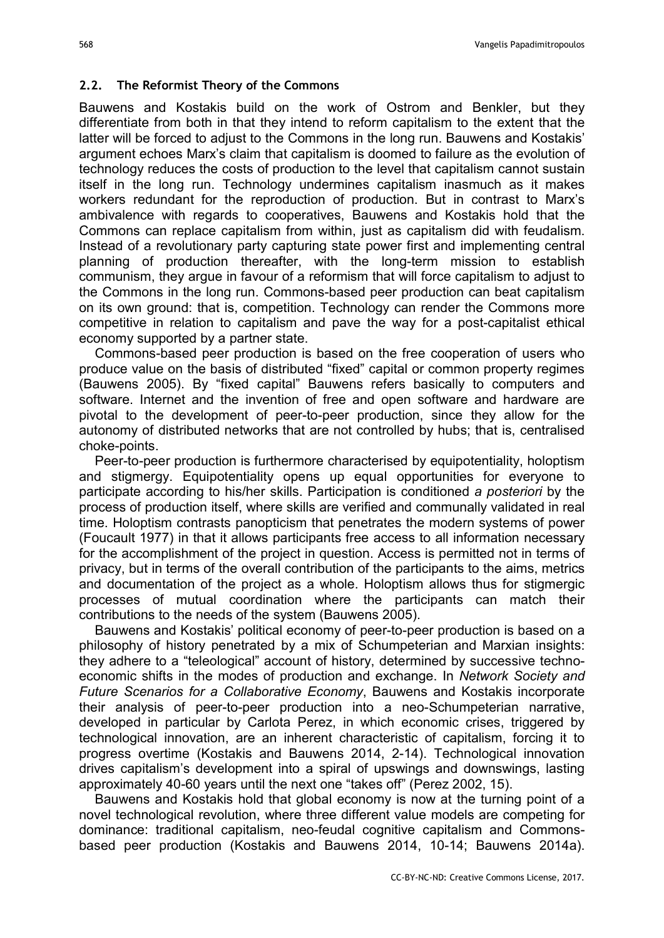#### 2.2. The Reformist Theory of the Commons

Bauwens and Kostakis build on the work of Ostrom and Benkler, but they differentiate from both in that they intend to reform capitalism to the extent that the latter will be forced to adjust to the Commons in the long run. Bauwens and Kostakis' argument echoes Marx's claim that capitalism is doomed to failure as the evolution of technology reduces the costs of production to the level that capitalism cannot sustain itself in the long run. Technology undermines capitalism inasmuch as it makes workers redundant for the reproduction of production. But in contrast to Marx's ambivalence with regards to cooperatives, Bauwens and Kostakis hold that the Commons can replace capitalism from within, just as capitalism did with feudalism. Instead of a revolutionary party capturing state power first and implementing central planning of production thereafter, with the long-term mission to establish communism, they argue in favour of a reformism that will force capitalism to adjust to the Commons in the long run. Commons-based peer production can beat capitalism on its own ground: that is, competition. Technology can render the Commons more competitive in relation to capitalism and pave the way for a post-capitalist ethical economy supported by a partner state.

Commons-based peer production is based on the free cooperation of users who produce value on the basis of distributed "fixed" capital or common property regimes (Bauwens 2005). By "fixed capital" Bauwens refers basically to computers and software. Internet and the invention of free and open software and hardware are pivotal to the development of peer-to-peer production, since they allow for the autonomy of distributed networks that are not controlled by hubs; that is, centralised choke-points.

Peer-to-peer production is furthermore characterised by equipotentiality, holoptism and stigmergy. Equipotentiality opens up equal opportunities for everyone to participate according to his/her skills. Participation is conditioned a posteriori by the process of production itself, where skills are verified and communally validated in real time. Holoptism contrasts panopticism that penetrates the modern systems of power (Foucault 1977) in that it allows participants free access to all information necessary for the accomplishment of the project in question. Access is permitted not in terms of privacy, but in terms of the overall contribution of the participants to the aims, metrics and documentation of the project as a whole. Holoptism allows thus for stigmergic processes of mutual coordination where the participants can match their contributions to the needs of the system (Bauwens 2005).

Bauwens and Kostakis' political economy of peer-to-peer production is based on a philosophy of history penetrated by a mix of Schumpeterian and Marxian insights: they adhere to a "teleological" account of history, determined by successive technoeconomic shifts in the modes of production and exchange. In Network Society and Future Scenarios for a Collaborative Economy, Bauwens and Kostakis incorporate their analysis of peer-to-peer production into a neo-Schumpeterian narrative, developed in particular by Carlota Perez, in which economic crises, triggered by technological innovation, are an inherent characteristic of capitalism, forcing it to progress overtime (Kostakis and Bauwens 2014, 2-14). Technological innovation drives capitalism's development into a spiral of upswings and downswings, lasting approximately 40-60 years until the next one "takes off" (Perez 2002, 15).

Bauwens and Kostakis hold that global economy is now at the turning point of a novel technological revolution, where three different value models are competing for dominance: traditional capitalism, neo-feudal cognitive capitalism and Commonsbased peer production (Kostakis and Bauwens 2014, 10-14; Bauwens 2014a).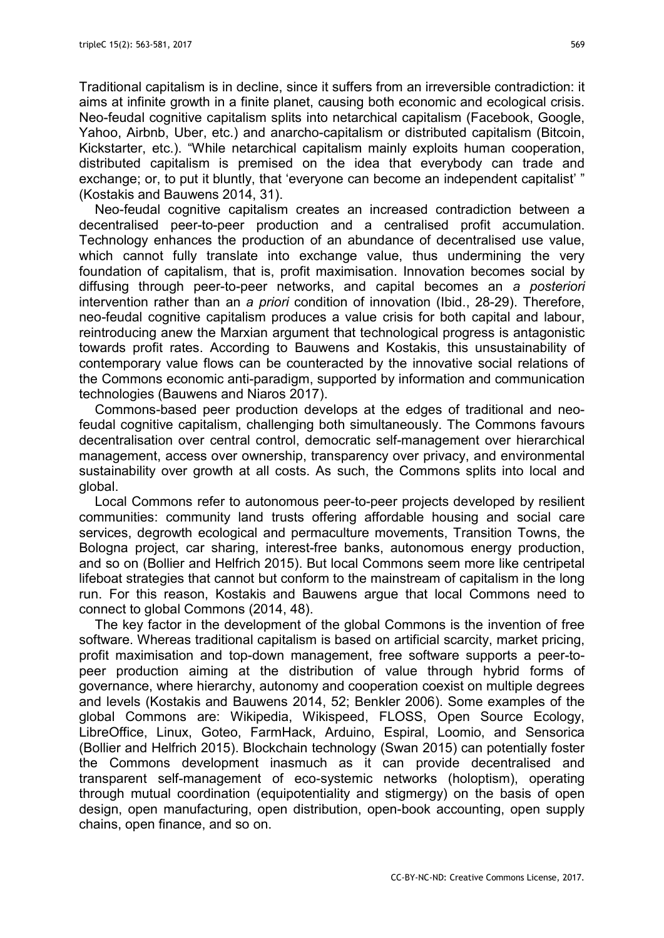Traditional capitalism is in decline, since it suffers from an irreversible contradiction: it aims at infinite growth in a finite planet, causing both economic and ecological crisis. Neo-feudal cognitive capitalism splits into netarchical capitalism (Facebook, Google, Yahoo, Airbnb, Uber, etc.) and anarcho-capitalism or distributed capitalism (Bitcoin, Kickstarter, etc.). "While netarchical capitalism mainly exploits human cooperation, distributed capitalism is premised on the idea that everybody can trade and exchange; or, to put it bluntly, that 'everyone can become an independent capitalist' " (Kostakis and Bauwens 2014, 31).

Neo-feudal cognitive capitalism creates an increased contradiction between a decentralised peer-to-peer production and a centralised profit accumulation. Technology enhances the production of an abundance of decentralised use value, which cannot fully translate into exchange value, thus undermining the very foundation of capitalism, that is, profit maximisation. Innovation becomes social by diffusing through peer-to-peer networks, and capital becomes an a posteriori intervention rather than an a *priori* condition of innovation (Ibid., 28-29). Therefore, neo-feudal cognitive capitalism produces a value crisis for both capital and labour, reintroducing anew the Marxian argument that technological progress is antagonistic towards profit rates. According to Bauwens and Kostakis, this unsustainability of contemporary value flows can be counteracted by the innovative social relations of the Commons economic anti-paradigm, supported by information and communication technologies (Bauwens and Niaros 2017).

Commons-based peer production develops at the edges of traditional and neofeudal cognitive capitalism, challenging both simultaneously. The Commons favours decentralisation over central control, democratic self-management over hierarchical management, access over ownership, transparency over privacy, and environmental sustainability over growth at all costs. As such, the Commons splits into local and global.

Local Commons refer to autonomous peer-to-peer projects developed by resilient communities: community land trusts offering affordable housing and social care services, degrowth ecological and permaculture movements, Transition Towns, the Bologna project, car sharing, interest-free banks, autonomous energy production, and so on (Bollier and Helfrich 2015). But local Commons seem more like centripetal lifeboat strategies that cannot but conform to the mainstream of capitalism in the long run. For this reason, Kostakis and Bauwens argue that local Commons need to connect to global Commons (2014, 48).

The key factor in the development of the global Commons is the invention of free software. Whereas traditional capitalism is based on artificial scarcity, market pricing, profit maximisation and top-down management, free software supports a peer-topeer production aiming at the distribution of value through hybrid forms of governance, where hierarchy, autonomy and cooperation coexist on multiple degrees and levels (Kostakis and Bauwens 2014, 52; Benkler 2006). Some examples of the global Commons are: Wikipedia, Wikispeed, FLOSS, Open Source Ecology, LibreOffice, Linux, Goteo, FarmHack, Arduino, Espiral, Loomio, and Sensorica (Bollier and Helfrich 2015). Blockchain technology (Swan 2015) can potentially foster the Commons development inasmuch as it can provide decentralised and transparent self-management of eco-systemic networks (holoptism), operating through mutual coordination (equipotentiality and stigmergy) on the basis of open design, open manufacturing, open distribution, open-book accounting, open supply chains, open finance, and so on.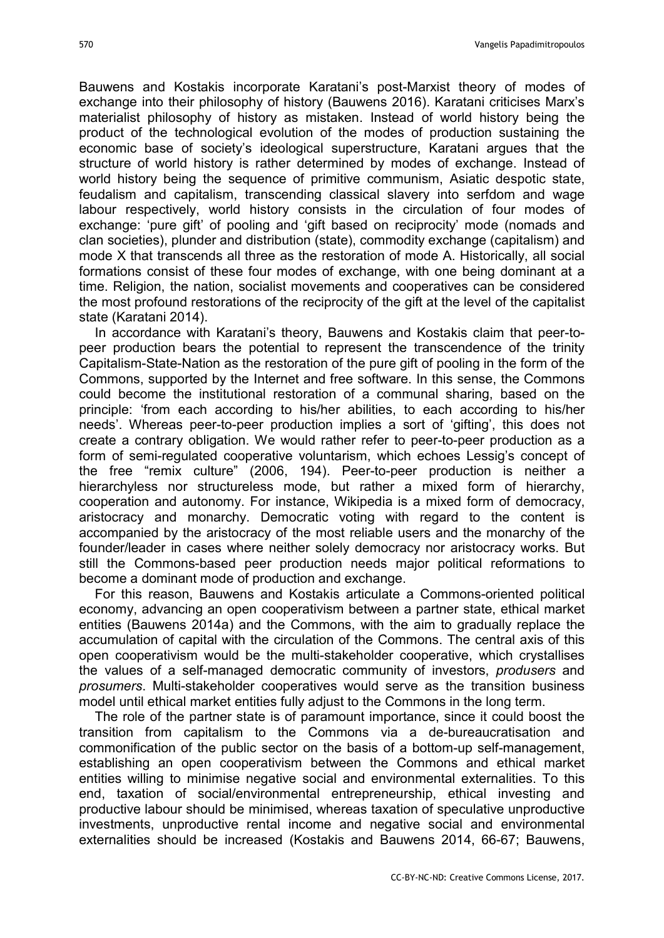Bauwens and Kostakis incorporate Karatani's post-Marxist theory of modes of exchange into their philosophy of history (Bauwens 2016). Karatani criticises Marx's materialist philosophy of history as mistaken. Instead of world history being the product of the technological evolution of the modes of production sustaining the economic base of society's ideological superstructure, Karatani argues that the structure of world history is rather determined by modes of exchange. Instead of world history being the sequence of primitive communism, Asiatic despotic state, feudalism and capitalism, transcending classical slavery into serfdom and wage labour respectively, world history consists in the circulation of four modes of exchange: 'pure gift' of pooling and 'gift based on reciprocity' mode (nomads and clan societies), plunder and distribution (state), commodity exchange (capitalism) and mode X that transcends all three as the restoration of mode A. Historically, all social formations consist of these four modes of exchange, with one being dominant at a time. Religion, the nation, socialist movements and cooperatives can be considered the most profound restorations of the reciprocity of the gift at the level of the capitalist state (Karatani 2014).

In accordance with Karatani's theory, Bauwens and Kostakis claim that peer-topeer production bears the potential to represent the transcendence of the trinity Capitalism-State-Nation as the restoration of the pure gift of pooling in the form of the Commons, supported by the Internet and free software. In this sense, the Commons could become the institutional restoration of a communal sharing, based on the principle: 'from each according to his/her abilities, to each according to his/her needs'. Whereas peer-to-peer production implies a sort of 'gifting', this does not create a contrary obligation. We would rather refer to peer-to-peer production as a form of semi-regulated cooperative voluntarism, which echoes Lessig's concept of the free "remix culture" (2006, 194). Peer-to-peer production is neither a hierarchyless nor structureless mode, but rather a mixed form of hierarchy, cooperation and autonomy. For instance, Wikipedia is a mixed form of democracy, aristocracy and monarchy. Democratic voting with regard to the content is accompanied by the aristocracy of the most reliable users and the monarchy of the founder/leader in cases where neither solely democracy nor aristocracy works. But still the Commons-based peer production needs major political reformations to become a dominant mode of production and exchange.

For this reason, Bauwens and Kostakis articulate a Commons-oriented political economy, advancing an open cooperativism between a partner state, ethical market entities (Bauwens 2014a) and the Commons, with the aim to gradually replace the accumulation of capital with the circulation of the Commons. The central axis of this open cooperativism would be the multi-stakeholder cooperative, which crystallises the values of a self-managed democratic community of investors, produsers and prosumers. Multi-stakeholder cooperatives would serve as the transition business model until ethical market entities fully adjust to the Commons in the long term.

The role of the partner state is of paramount importance, since it could boost the transition from capitalism to the Commons via a de-bureaucratisation and commonification of the public sector on the basis of a bottom-up self-management, establishing an open cooperativism between the Commons and ethical market entities willing to minimise negative social and environmental externalities. To this end, taxation of social/environmental entrepreneurship, ethical investing and productive labour should be minimised, whereas taxation of speculative unproductive investments, unproductive rental income and negative social and environmental externalities should be increased (Kostakis and Bauwens 2014, 66-67; Bauwens,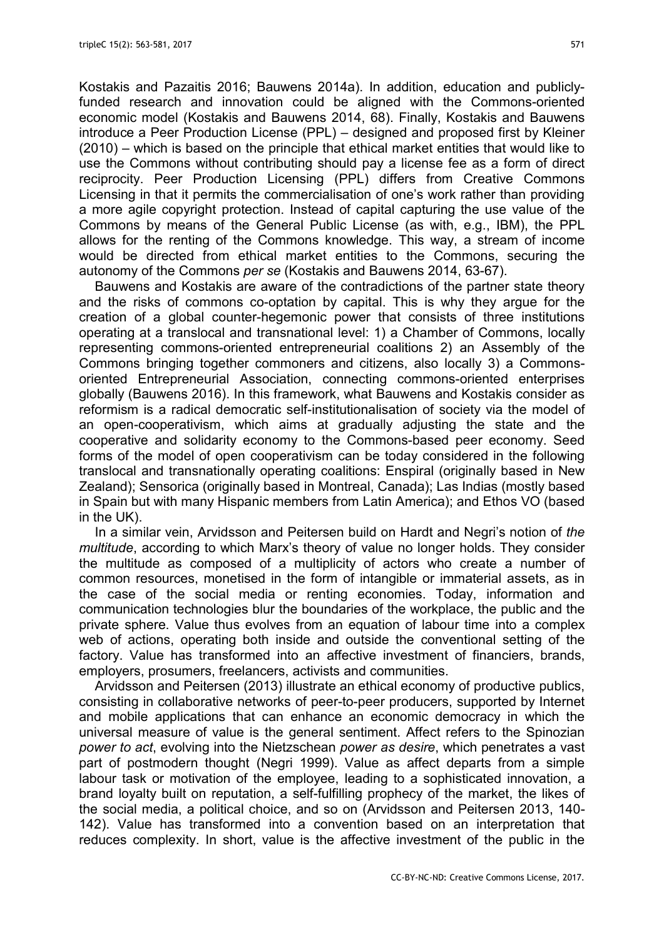Kostakis and Pazaitis 2016; Bauwens 2014a). In addition, education and publiclyfunded research and innovation could be aligned with the Commons-oriented economic model (Kostakis and Bauwens 2014, 68). Finally, Kostakis and Bauwens introduce a Peer Production License (PPL) – designed and proposed first by Kleiner (2010) – which is based on the principle that ethical market entities that would like to use the Commons without contributing should pay a license fee as a form of direct reciprocity. Peer Production Licensing (PPL) differs from Creative Commons Licensing in that it permits the commercialisation of one's work rather than providing a more agile copyright protection. Instead of capital capturing the use value of the Commons by means of the General Public License (as with, e.g., IBM), the PPL allows for the renting of the Commons knowledge. This way, a stream of income would be directed from ethical market entities to the Commons, securing the autonomy of the Commons per se (Kostakis and Bauwens 2014, 63-67).

Bauwens and Kostakis are aware of the contradictions of the partner state theory and the risks of commons co-optation by capital. This is why they argue for the creation of a global counter-hegemonic power that consists of three institutions operating at a translocal and transnational level: 1) a Chamber of Commons, locally representing commons-oriented entrepreneurial coalitions 2) an Assembly of the Commons bringing together commoners and citizens, also locally 3) a Commonsoriented Entrepreneurial Association, connecting commons-oriented enterprises globally (Bauwens 2016). In this framework, what Bauwens and Kostakis consider as reformism is a radical democratic self-institutionalisation of society via the model of an open-cooperativism, which aims at gradually adjusting the state and the cooperative and solidarity economy to the Commons-based peer economy. Seed forms of the model of open cooperativism can be today considered in the following translocal and transnationally operating coalitions: Enspiral (originally based in New Zealand); Sensorica (originally based in Montreal, Canada); Las Indias (mostly based in Spain but with many Hispanic members from Latin America); and Ethos VO (based in the UK).

In a similar vein, Arvidsson and Peitersen build on Hardt and Negri's notion of the multitude, according to which Marx's theory of value no longer holds. They consider the multitude as composed of a multiplicity of actors who create a number of common resources, monetised in the form of intangible or immaterial assets, as in the case of the social media or renting economies. Today, information and communication technologies blur the boundaries of the workplace, the public and the private sphere. Value thus evolves from an equation of labour time into a complex web of actions, operating both inside and outside the conventional setting of the factory. Value has transformed into an affective investment of financiers, brands, employers, prosumers, freelancers, activists and communities.

Arvidsson and Peitersen (2013) illustrate an ethical economy of productive publics, consisting in collaborative networks of peer-to-peer producers, supported by Internet and mobile applications that can enhance an economic democracy in which the universal measure of value is the general sentiment. Affect refers to the Spinozian power to act, evolving into the Nietzschean power as desire, which penetrates a vast part of postmodern thought (Negri 1999). Value as affect departs from a simple labour task or motivation of the employee, leading to a sophisticated innovation, a brand loyalty built on reputation, a self-fulfilling prophecy of the market, the likes of the social media, a political choice, and so on (Arvidsson and Peitersen 2013, 140- 142). Value has transformed into a convention based on an interpretation that reduces complexity. In short, value is the affective investment of the public in the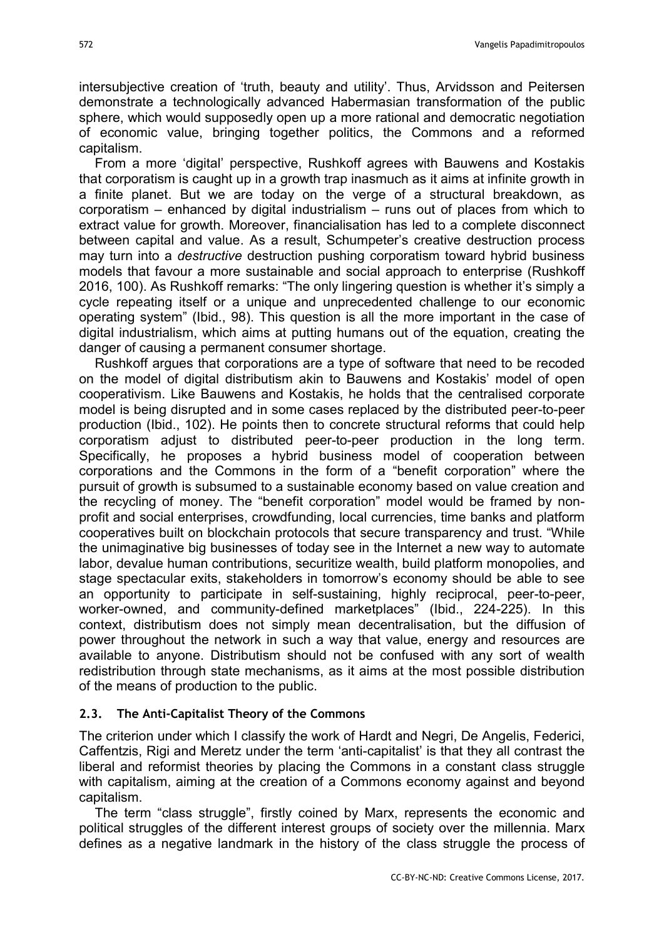intersubjective creation of 'truth, beauty and utility'. Thus, Arvidsson and Peitersen demonstrate a technologically advanced Habermasian transformation of the public sphere, which would supposedly open up a more rational and democratic negotiation of economic value, bringing together politics, the Commons and a reformed capitalism.

From a more 'digital' perspective, Rushkoff agrees with Bauwens and Kostakis that corporatism is caught up in a growth trap inasmuch as it aims at infinite growth in a finite planet. But we are today on the verge of a structural breakdown, as corporatism – enhanced by digital industrialism – runs out of places from which to extract value for growth. Moreover, financialisation has led to a complete disconnect between capital and value. As a result, Schumpeter's creative destruction process may turn into a *destructive* destruction pushing corporatism toward hybrid business models that favour a more sustainable and social approach to enterprise (Rushkoff 2016, 100). As Rushkoff remarks: "The only lingering question is whether it's simply a cycle repeating itself or a unique and unprecedented challenge to our economic operating system" (Ibid., 98). This question is all the more important in the case of digital industrialism, which aims at putting humans out of the equation, creating the danger of causing a permanent consumer shortage.

Rushkoff argues that corporations are a type of software that need to be recoded on the model of digital distributism akin to Bauwens and Kostakis' model of open cooperativism. Like Bauwens and Kostakis, he holds that the centralised corporate model is being disrupted and in some cases replaced by the distributed peer-to-peer production (Ibid., 102). He points then to concrete structural reforms that could help corporatism adjust to distributed peer-to-peer production in the long term. Specifically, he proposes a hybrid business model of cooperation between corporations and the Commons in the form of a "benefit corporation" where the pursuit of growth is subsumed to a sustainable economy based on value creation and the recycling of money. The "benefit corporation" model would be framed by nonprofit and social enterprises, crowdfunding, local currencies, time banks and platform cooperatives built on blockchain protocols that secure transparency and trust. "While the unimaginative big businesses of today see in the Internet a new way to automate labor, devalue human contributions, securitize wealth, build platform monopolies, and stage spectacular exits, stakeholders in tomorrow's economy should be able to see an opportunity to participate in self-sustaining, highly reciprocal, peer-to-peer, worker-owned, and community-defined marketplaces" (Ibid., 224-225). In this context, distributism does not simply mean decentralisation, but the diffusion of power throughout the network in such a way that value, energy and resources are available to anyone. Distributism should not be confused with any sort of wealth redistribution through state mechanisms, as it aims at the most possible distribution of the means of production to the public.

#### 2.3. The Anti-Capitalist Theory of the Commons

The criterion under which I classify the work of Hardt and Negri, De Angelis, Federici, Caffentzis, Rigi and Meretz under the term 'anti-capitalist' is that they all contrast the liberal and reformist theories by placing the Commons in a constant class struggle with capitalism, aiming at the creation of a Commons economy against and beyond capitalism.

The term "class struggle", firstly coined by Marx, represents the economic and political struggles of the different interest groups of society over the millennia. Marx defines as a negative landmark in the history of the class struggle the process of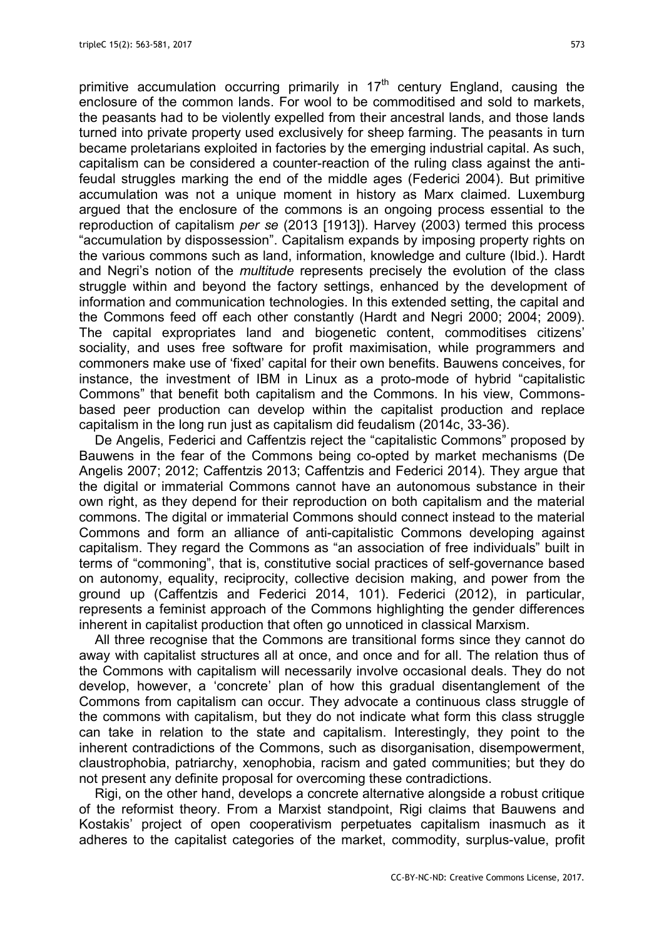primitive accumulation occurring primarily in  $17<sup>th</sup>$  century England, causing the enclosure of the common lands. For wool to be commoditised and sold to markets, the peasants had to be violently expelled from their ancestral lands, and those lands turned into private property used exclusively for sheep farming. The peasants in turn became proletarians exploited in factories by the emerging industrial capital. As such, capitalism can be considered a counter-reaction of the ruling class against the antifeudal struggles marking the end of the middle ages (Federici 2004). But primitive accumulation was not a unique moment in history as Marx claimed. Luxemburg argued that the enclosure of the commons is an ongoing process essential to the reproduction of capitalism per se (2013 [1913]). Harvey (2003) termed this process "accumulation by dispossession". Capitalism expands by imposing property rights on the various commons such as land, information, knowledge and culture (Ibid.). Hardt and Negri's notion of the *multitude* represents precisely the evolution of the class struggle within and beyond the factory settings, enhanced by the development of information and communication technologies. In this extended setting, the capital and the Commons feed off each other constantly (Hardt and Negri 2000; 2004; 2009). The capital expropriates land and biogenetic content, commoditises citizens' sociality, and uses free software for profit maximisation, while programmers and commoners make use of 'fixed' capital for their own benefits. Bauwens conceives, for instance, the investment of IBM in Linux as a proto-mode of hybrid "capitalistic Commons" that benefit both capitalism and the Commons. In his view, Commonsbased peer production can develop within the capitalist production and replace capitalism in the long run just as capitalism did feudalism (2014c, 33-36).

De Angelis, Federici and Caffentzis reject the "capitalistic Commons" proposed by Bauwens in the fear of the Commons being co-opted by market mechanisms (De Angelis 2007; 2012; Caffentzis 2013; Caffentzis and Federici 2014). They argue that the digital or immaterial Commons cannot have an autonomous substance in their own right, as they depend for their reproduction on both capitalism and the material commons. The digital or immaterial Commons should connect instead to the material Commons and form an alliance of anti-capitalistic Commons developing against capitalism. They regard the Commons as "an association of free individuals" built in terms of "commoning", that is, constitutive social practices of self-governance based on autonomy, equality, reciprocity, collective decision making, and power from the ground up (Caffentzis and Federici 2014, 101). Federici (2012), in particular, represents a feminist approach of the Commons highlighting the gender differences inherent in capitalist production that often go unnoticed in classical Marxism.

All three recognise that the Commons are transitional forms since they cannot do away with capitalist structures all at once, and once and for all. The relation thus of the Commons with capitalism will necessarily involve occasional deals. They do not develop, however, a 'concrete' plan of how this gradual disentanglement of the Commons from capitalism can occur. They advocate a continuous class struggle of the commons with capitalism, but they do not indicate what form this class struggle can take in relation to the state and capitalism. Interestingly, they point to the inherent contradictions of the Commons, such as disorganisation, disempowerment, claustrophobia, patriarchy, xenophobia, racism and gated communities; but they do not present any definite proposal for overcoming these contradictions.

Rigi, on the other hand, develops a concrete alternative alongside a robust critique of the reformist theory. From a Marxist standpoint, Rigi claims that Bauwens and Kostakis' project of open cooperativism perpetuates capitalism inasmuch as it adheres to the capitalist categories of the market, commodity, surplus-value, profit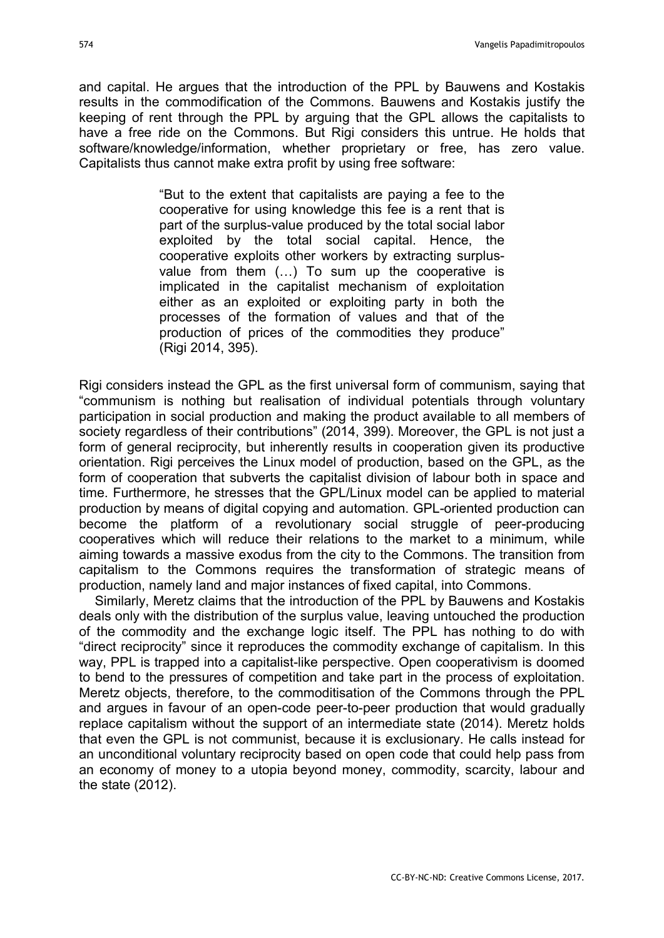and capital. He argues that the introduction of the PPL by Bauwens and Kostakis results in the commodification of the Commons. Bauwens and Kostakis justify the keeping of rent through the PPL by arguing that the GPL allows the capitalists to have a free ride on the Commons. But Rigi considers this untrue. He holds that software/knowledge/information, whether proprietary or free, has zero value. Capitalists thus cannot make extra profit by using free software:

> "But to the extent that capitalists are paying a fee to the cooperative for using knowledge this fee is a rent that is part of the surplus-value produced by the total social labor exploited by the total social capital. Hence, the cooperative exploits other workers by extracting surplusvalue from them (…) To sum up the cooperative is implicated in the capitalist mechanism of exploitation either as an exploited or exploiting party in both the processes of the formation of values and that of the production of prices of the commodities they produce" (Rigi 2014, 395).

Rigi considers instead the GPL as the first universal form of communism, saying that "communism is nothing but realisation of individual potentials through voluntary participation in social production and making the product available to all members of society regardless of their contributions" (2014, 399). Moreover, the GPL is not just a form of general reciprocity, but inherently results in cooperation given its productive orientation. Rigi perceives the Linux model of production, based on the GPL, as the form of cooperation that subverts the capitalist division of labour both in space and time. Furthermore, he stresses that the GPL/Linux model can be applied to material production by means of digital copying and automation. GPL-oriented production can become the platform of a revolutionary social struggle of peer-producing cooperatives which will reduce their relations to the market to a minimum, while aiming towards a massive exodus from the city to the Commons. The transition from capitalism to the Commons requires the transformation of strategic means of production, namely land and major instances of fixed capital, into Commons.

Similarly, Meretz claims that the introduction of the PPL by Bauwens and Kostakis deals only with the distribution of the surplus value, leaving untouched the production of the commodity and the exchange logic itself. The PPL has nothing to do with "direct reciprocity" since it reproduces the commodity exchange of capitalism. In this way, PPL is trapped into a capitalist-like perspective. Open cooperativism is doomed to bend to the pressures of competition and take part in the process of exploitation. Meretz objects, therefore, to the commoditisation of the Commons through the PPL and argues in favour of an open-code peer-to-peer production that would gradually replace capitalism without the support of an intermediate state (2014). Meretz holds that even the GPL is not communist, because it is exclusionary. He calls instead for an unconditional voluntary reciprocity based on open code that could help pass from an economy of money to a utopia beyond money, commodity, scarcity, labour and the state (2012).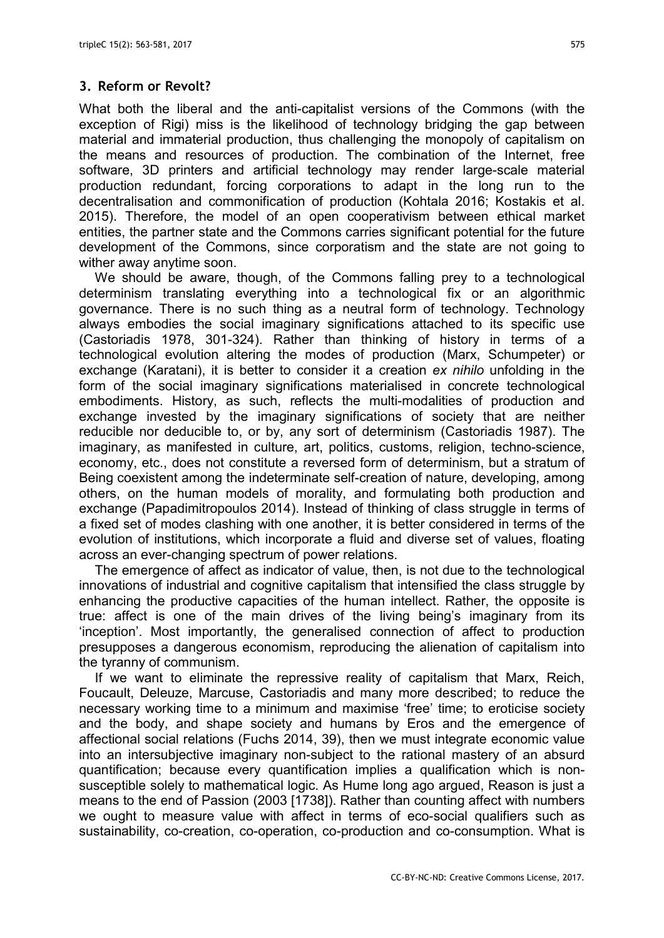## 3. Reform or Revolt?

What both the liberal and the anti-capitalist versions of the Commons (with the exception of Rigi) miss is the likelihood of technology bridging the gap between material and immaterial production, thus challenging the monopoly of capitalism on the means and resources of production. The combination of the Internet, free software, 3D printers and artificial technology may render large-scale material production redundant, forcing corporations to adapt in the long run to the decentralisation and commonification of production (Kohtala 2016; Kostakis et al. 2015). Therefore, the model of an open cooperativism between ethical market entities, the partner state and the Commons carries significant potential for the future development of the Commons, since corporatism and the state are not going to wither away anytime soon.

We should be aware, though, of the Commons falling prey to a technological determinism translating everything into a technological fix or an algorithmic governance. There is no such thing as a neutral form of technology. Technology always embodies the social imaginary significations attached to its specific use (Castoriadis 1978, 301-324). Rather than thinking of history in terms of a technological evolution altering the modes of production (Marx, Schumpeter) or exchange (Karatani), it is better to consider it a creation ex nihilo unfolding in the form of the social imaginary significations materialised in concrete technological embodiments. History, as such, reflects the multi-modalities of production and exchange invested by the imaginary significations of society that are neither reducible nor deducible to, or by, any sort of determinism (Castoriadis 1987). The imaginary, as manifested in culture, art, politics, customs, religion, techno-science, economy, etc., does not constitute a reversed form of determinism, but a stratum of Being coexistent among the indeterminate self-creation of nature, developing, among others, on the human models of morality, and formulating both production and exchange (Papadimitropoulos 2014). Instead of thinking of class struggle in terms of a fixed set of modes clashing with one another, it is better considered in terms of the evolution of institutions, which incorporate a fluid and diverse set of values, floating across an ever-changing spectrum of power relations.

The emergence of affect as indicator of value, then, is not due to the technological innovations of industrial and cognitive capitalism that intensified the class struggle by enhancing the productive capacities of the human intellect. Rather, the opposite is true: affect is one of the main drives of the living being's imaginary from its 'inception'. Most importantly, the generalised connection of affect to production presupposes a dangerous economism, reproducing the alienation of capitalism into the tyranny of communism.

If we want to eliminate the repressive reality of capitalism that Marx, Reich, Foucault, Deleuze, Marcuse, Castoriadis and many more described; to reduce the necessary working time to a minimum and maximise 'free' time; to eroticise society and the body, and shape society and humans by Eros and the emergence of affectional social relations (Fuchs 2014, 39), then we must integrate economic value into an intersubjective imaginary non-subject to the rational mastery of an absurd quantification; because every quantification implies a qualification which is nonsusceptible solely to mathematical logic. As Hume long ago argued, Reason is just a means to the end of Passion (2003 [1738]). Rather than counting affect with numbers we ought to measure value with affect in terms of eco-social qualifiers such as sustainability, co-creation, co-operation, co-production and co-consumption. What is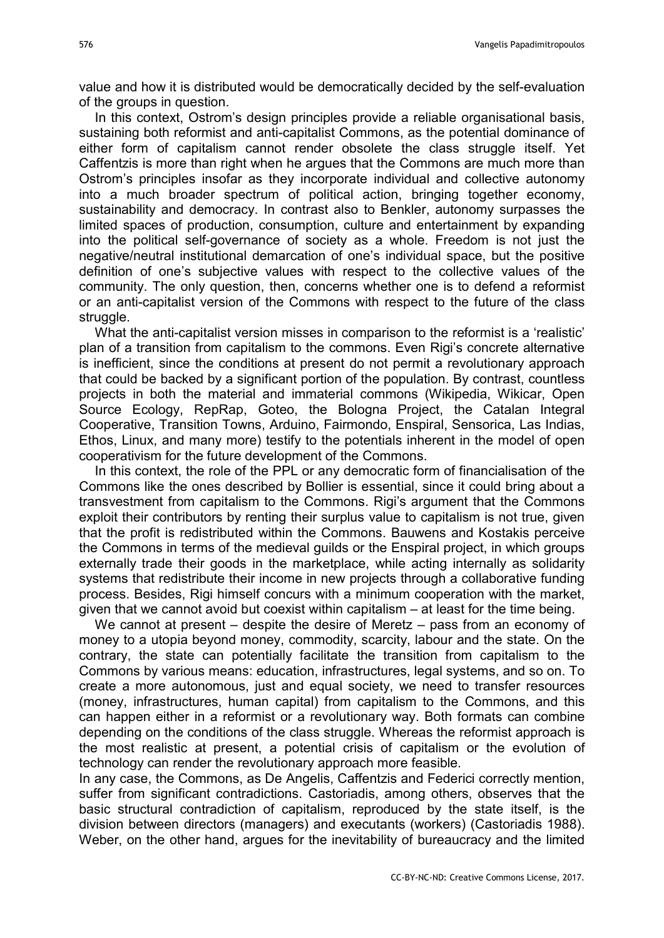value and how it is distributed would be democratically decided by the self-evaluation of the groups in question.

In this context, Ostrom's design principles provide a reliable organisational basis, sustaining both reformist and anti-capitalist Commons, as the potential dominance of either form of capitalism cannot render obsolete the class struggle itself. Yet Caffentzis is more than right when he argues that the Commons are much more than Ostrom's principles insofar as they incorporate individual and collective autonomy into a much broader spectrum of political action, bringing together economy, sustainability and democracy. In contrast also to Benkler, autonomy surpasses the limited spaces of production, consumption, culture and entertainment by expanding into the political self-governance of society as a whole. Freedom is not just the negative/neutral institutional demarcation of one's individual space, but the positive definition of one's subjective values with respect to the collective values of the community. The only question, then, concerns whether one is to defend a reformist or an anti-capitalist version of the Commons with respect to the future of the class struggle.

What the anti-capitalist version misses in comparison to the reformist is a 'realistic' plan of a transition from capitalism to the commons. Even Rigi's concrete alternative is inefficient, since the conditions at present do not permit a revolutionary approach that could be backed by a significant portion of the population. By contrast, countless projects in both the material and immaterial commons (Wikipedia, Wikicar, Open Source Ecology, RepRap, Goteo, the Bologna Project, the Catalan Integral Cooperative, Transition Towns, Arduino, Fairmondo, Enspiral, Sensorica, Las Indias, Ethos, Linux, and many more) testify to the potentials inherent in the model of open cooperativism for the future development of the Commons.

In this context, the role of the PPL or any democratic form of financialisation of the Commons like the ones described by Bollier is essential, since it could bring about a transvestment from capitalism to the Commons. Rigi's argument that the Commons exploit their contributors by renting their surplus value to capitalism is not true, given that the profit is redistributed within the Commons. Bauwens and Kostakis perceive the Commons in terms of the medieval guilds or the Enspiral project, in which groups externally trade their goods in the marketplace, while acting internally as solidarity systems that redistribute their income in new projects through a collaborative funding process. Besides, Rigi himself concurs with a minimum cooperation with the market, given that we cannot avoid but coexist within capitalism – at least for the time being.

We cannot at present – despite the desire of Meretz – pass from an economy of money to a utopia beyond money, commodity, scarcity, labour and the state. On the contrary, the state can potentially facilitate the transition from capitalism to the Commons by various means: education, infrastructures, legal systems, and so on. To create a more autonomous, just and equal society, we need to transfer resources (money, infrastructures, human capital) from capitalism to the Commons, and this can happen either in a reformist or a revolutionary way. Both formats can combine depending on the conditions of the class struggle. Whereas the reformist approach is the most realistic at present, a potential crisis of capitalism or the evolution of technology can render the revolutionary approach more feasible.

In any case, the Commons, as De Angelis, Caffentzis and Federici correctly mention, suffer from significant contradictions. Castoriadis, among others, observes that the basic structural contradiction of capitalism, reproduced by the state itself, is the division between directors (managers) and executants (workers) (Castoriadis 1988). Weber, on the other hand, argues for the inevitability of bureaucracy and the limited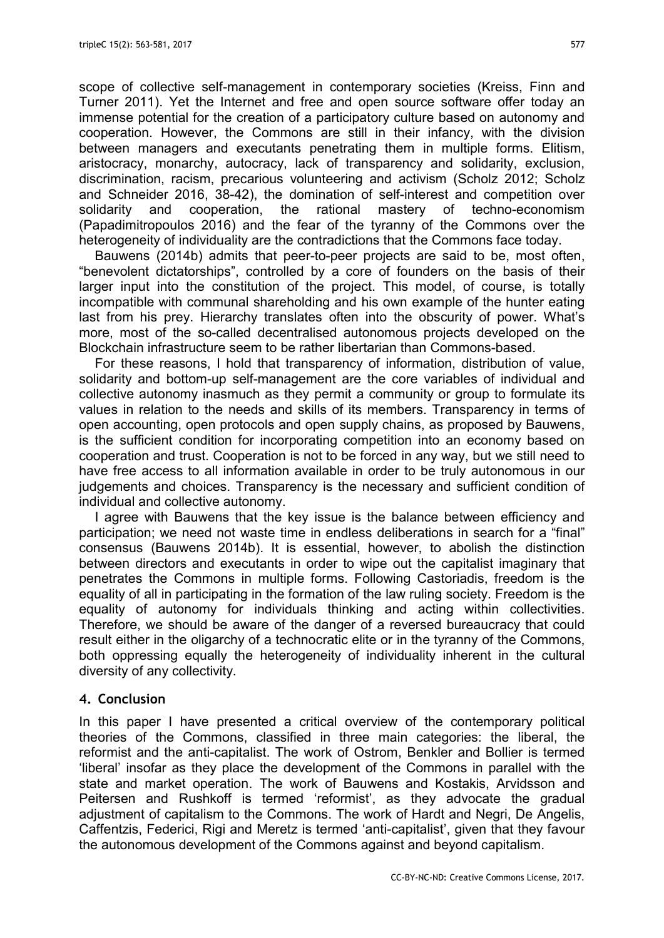scope of collective self-management in contemporary societies (Kreiss, Finn and Turner 2011). Yet the Internet and free and open source software offer today an immense potential for the creation of a participatory culture based on autonomy and cooperation. However, the Commons are still in their infancy, with the division between managers and executants penetrating them in multiple forms. Elitism, aristocracy, monarchy, autocracy, lack of transparency and solidarity, exclusion, discrimination, racism, precarious volunteering and activism (Scholz 2012; Scholz and Schneider 2016, 38-42), the domination of self-interest and competition over solidarity and cooperation, the rational mastery of techno-economism (Papadimitropoulos 2016) and the fear of the tyranny of the Commons over the heterogeneity of individuality are the contradictions that the Commons face today.

Bauwens (2014b) admits that peer-to-peer projects are said to be, most often, "benevolent dictatorships", controlled by a core of founders on the basis of their larger input into the constitution of the project. This model, of course, is totally incompatible with communal shareholding and his own example of the hunter eating last from his prey. Hierarchy translates often into the obscurity of power. What's more, most of the so-called decentralised autonomous projects developed on the Blockchain infrastructure seem to be rather libertarian than Commons-based.

For these reasons, I hold that transparency of information, distribution of value, solidarity and bottom-up self-management are the core variables of individual and collective autonomy inasmuch as they permit a community or group to formulate its values in relation to the needs and skills of its members. Transparency in terms of open accounting, open protocols and open supply chains, as proposed by Bauwens, is the sufficient condition for incorporating competition into an economy based on cooperation and trust. Cooperation is not to be forced in any way, but we still need to have free access to all information available in order to be truly autonomous in our judgements and choices. Transparency is the necessary and sufficient condition of individual and collective autonomy.

I agree with Bauwens that the key issue is the balance between efficiency and participation; we need not waste time in endless deliberations in search for a "final" consensus (Bauwens 2014b). It is essential, however, to abolish the distinction between directors and executants in order to wipe out the capitalist imaginary that penetrates the Commons in multiple forms. Following Castoriadis, freedom is the equality of all in participating in the formation of the law ruling society. Freedom is the equality of autonomy for individuals thinking and acting within collectivities. Therefore, we should be aware of the danger of a reversed bureaucracy that could result either in the oligarchy of a technocratic elite or in the tyranny of the Commons, both oppressing equally the heterogeneity of individuality inherent in the cultural diversity of any collectivity.

#### 4. Conclusion

In this paper I have presented a critical overview of the contemporary political theories of the Commons, classified in three main categories: the liberal, the reformist and the anti-capitalist. The work of Ostrom, Benkler and Bollier is termed 'liberal' insofar as they place the development of the Commons in parallel with the state and market operation. The work of Bauwens and Kostakis, Arvidsson and Peitersen and Rushkoff is termed 'reformist', as they advocate the gradual adjustment of capitalism to the Commons. The work of Hardt and Negri, De Angelis, Caffentzis, Federici, Rigi and Meretz is termed 'anti-capitalist', given that they favour the autonomous development of the Commons against and beyond capitalism.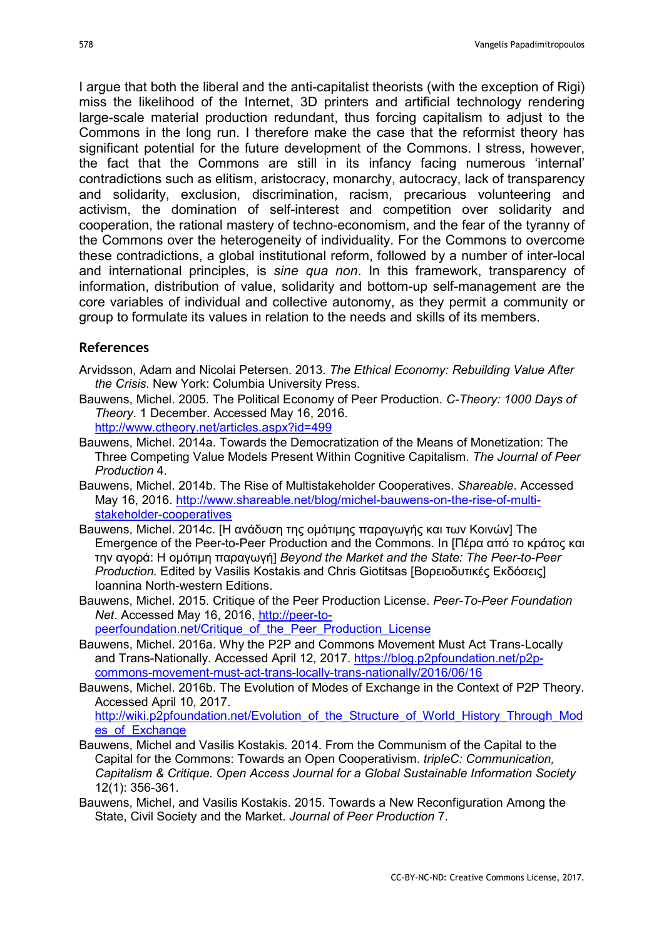I argue that both the liberal and the anti-capitalist theorists (with the exception of Rigi) miss the likelihood of the Internet, 3D printers and artificial technology rendering large-scale material production redundant, thus forcing capitalism to adjust to the Commons in the long run. I therefore make the case that the reformist theory has significant potential for the future development of the Commons. I stress, however, the fact that the Commons are still in its infancy facing numerous 'internal' contradictions such as elitism, aristocracy, monarchy, autocracy, lack of transparency and solidarity, exclusion, discrimination, racism, precarious volunteering and activism, the domination of self-interest and competition over solidarity and cooperation, the rational mastery of techno-economism, and the fear of the tyranny of the Commons over the heterogeneity of individuality. For the Commons to overcome these contradictions, a global institutional reform, followed by a number of inter-local and international principles, is sine qua non. In this framework, transparency of information, distribution of value, solidarity and bottom-up self-management are the core variables of individual and collective autonomy, as they permit a community or group to formulate its values in relation to the needs and skills of its members.

#### References

- Arvidsson, Adam and Nicolai Petersen. 2013. The Ethical Economy: Rebuilding Value After the Crisis. New York: Columbia University Press.
- Bauwens, Michel. 2005. The Political Economy of Peer Production. C-Theory: 1000 Days of Theory. 1 December. Accessed May 16, 2016. http://www.ctheory.net/articles.aspx?id=499
- Bauwens, Michel. 2014a. Towards the Democratization of the Means of Monetization: The Three Competing Value Models Present Within Cognitive Capitalism. The Journal of Peer Production 4.
- Bauwens, Michel. 2014b. The Rise of Multistakeholder Cooperatives. Shareable. Accessed May 16, 2016. http://www.shareable.net/blog/michel-bauwens-on-the-rise-of-multistakeholder-cooperatives
- Bauwens, Michel. 2014c. [Η ανάδυση της ομότιμης παραγωγής και των Κοινών] The Emergence of the Peer-to-Peer Production and the Commons. In [Πέρα από το κράτος και την αγορά: Η ομότιμη παραγωγή] Beyond the Market and the State: The Peer-to-Peer Production. Edited by Vasilis Kostakis and Chris Giotitsas [Βορειοδυτικές Εκδόσεις] Ioannina North-western Editions.
- Bauwens, Michel. 2015. Critique of the Peer Production License. Peer-To-Peer Foundation Net. Accessed May 16, 2016, http://peer-topeerfoundation.net/Critique of the Peer Production License
- Bauwens, Michel. 2016a. Why the P2P and Commons Movement Must Act Trans-Locally and Trans-Nationally. Accessed April 12, 2017. https://blog.p2pfoundation.net/p2pcommons-movement-must-act-trans-locally-trans-nationally/2016/06/16
- Bauwens, Michel. 2016b. The Evolution of Modes of Exchange in the Context of P2P Theory. Accessed April 10, 2017. http://wiki.p2pfoundation.net/Evolution\_of\_the\_Structure\_of\_World\_History\_Through\_Mod

es of Exchange

- Bauwens, Michel and Vasilis Kostakis. 2014. From the Communism of the Capital to the Capital for the Commons: Towards an Open Cooperativism. tripleC: Communication, Capitalism & Critique. Open Access Journal for a Global Sustainable Information Society 12(1): 356-361.
- Bauwens, Michel, and Vasilis Kostakis. 2015. Towards a New Reconfiguration Among the State, Civil Society and the Market. Journal of Peer Production 7.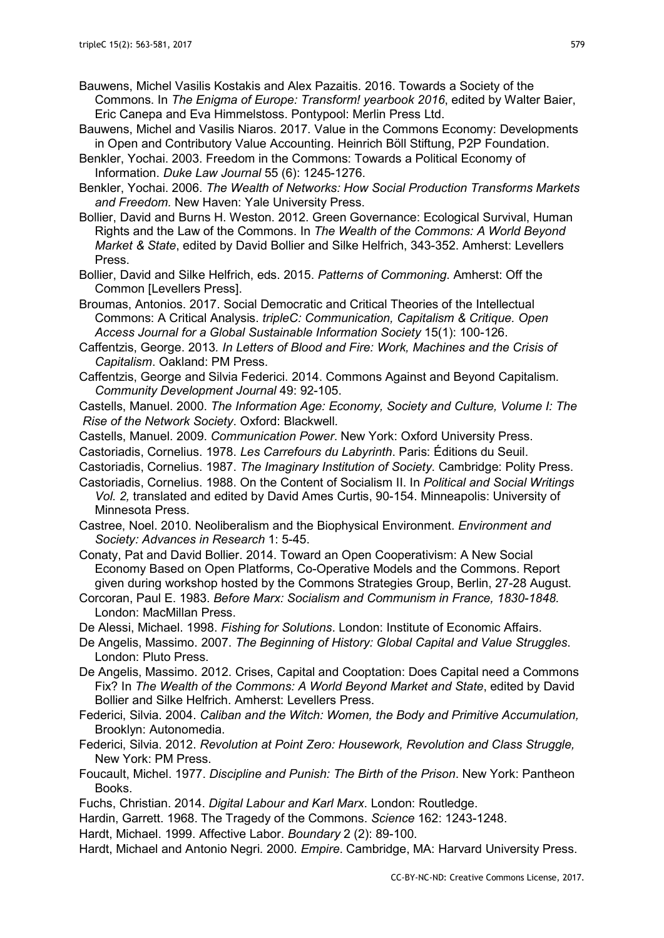- Bauwens, Michel Vasilis Kostakis and Alex Pazaitis. 2016. Towards a Society of the Commons. In The Enigma of Europe: Transform! yearbook 2016, edited by Walter Baier, Eric Canepa and Eva Himmelstoss. Pontypool: Merlin Press Ltd.
- Bauwens, Michel and Vasilis Niaros. 2017. Value in the Commons Economy: Developments in Open and Contributory Value Accounting. Heinrich Böll Stiftung, P2P Foundation.
- Benkler, Yochai. 2003. Freedom in the Commons: Towards a Political Economy of Information. Duke Law Journal 55 (6): 1245-1276.

Benkler, Yochai. 2006. The Wealth of Networks: How Social Production Transforms Markets and Freedom. New Haven: Yale University Press.

- Bollier, David and Burns H. Weston. 2012. Green Governance: Ecological Survival, Human Rights and the Law of the Commons. In The Wealth of the Commons: A World Beyond Market & State, edited by David Bollier and Silke Helfrich, 343-352. Amherst: Levellers Press.
- Bollier, David and Silke Helfrich, eds. 2015. Patterns of Commoning. Amherst: Off the Common [Levellers Press].

Broumas, Antonios. 2017. Social Democratic and Critical Theories of the Intellectual Commons: A Critical Analysis. tripleC: Communication, Capitalism & Critique. Open Access Journal for a Global Sustainable Information Society 15(1): 100-126.

Caffentzis, George. 2013. In Letters of Blood and Fire: Work, Machines and the Crisis of Capitalism. Oakland: PM Press.

Caffentzis, George and Silvia Federici. 2014. Commons Against and Beyond Capitalism. Community Development Journal 49: 92-105.

Castells, Manuel. 2000. The Information Age: Economy, Society and Culture, Volume I: The Rise of the Network Society. Oxford: Blackwell.

Castells, Manuel. 2009. Communication Power. New York: Oxford University Press.

Castoriadis, Cornelius. 1978. Les Carrefours du Labyrinth. Paris: Éditions du Seuil.

Castoriadis, Cornelius. 1987. The Imaginary Institution of Society. Cambridge: Polity Press.

Castoriadis, Cornelius. 1988. On the Content of Socialism II. In Political and Social Writings Vol. 2, translated and edited by David Ames Curtis, 90-154. Minneapolis: University of Minnesota Press.

Castree, Noel. 2010. Neoliberalism and the Biophysical Environment. Environment and Society: Advances in Research 1: 5-45.

Conaty, Pat and David Bollier. 2014. Toward an Open Cooperativism: A New Social Economy Based on Open Platforms, Co-Operative Models and the Commons. Report given during workshop hosted by the Commons Strategies Group, Berlin, 27-28 August.

Corcoran, Paul E. 1983. Before Marx: Socialism and Communism in France, 1830-1848. London: MacMillan Press.

De Alessi, Michael. 1998. Fishing for Solutions. London: Institute of Economic Affairs.

De Angelis, Massimo. 2007. The Beginning of History: Global Capital and Value Struggles. London: Pluto Press.

De Angelis, Massimo. 2012. Crises, Capital and Cooptation: Does Capital need a Commons Fix? In The Wealth of the Commons: A World Beyond Market and State, edited by David Bollier and Silke Helfrich. Amherst: Levellers Press.

Federici, Silvia. 2004. Caliban and the Witch: Women, the Body and Primitive Accumulation, Brooklyn: Autonomedia.

- Federici, Silvia. 2012. Revolution at Point Zero: Housework, Revolution and Class Struggle, New York: PM Press.
- Foucault, Michel. 1977. Discipline and Punish: The Birth of the Prison. New York: Pantheon Books.

Fuchs, Christian. 2014. Digital Labour and Karl Marx. London: Routledge.

Hardin, Garrett. 1968. The Tragedy of the Commons. Science 162: 1243-1248.

Hardt, Michael. 1999. Affective Labor. Boundary 2 (2): 89-100.

Hardt, Michael and Antonio Negri. 2000. Empire. Cambridge, MA: Harvard University Press.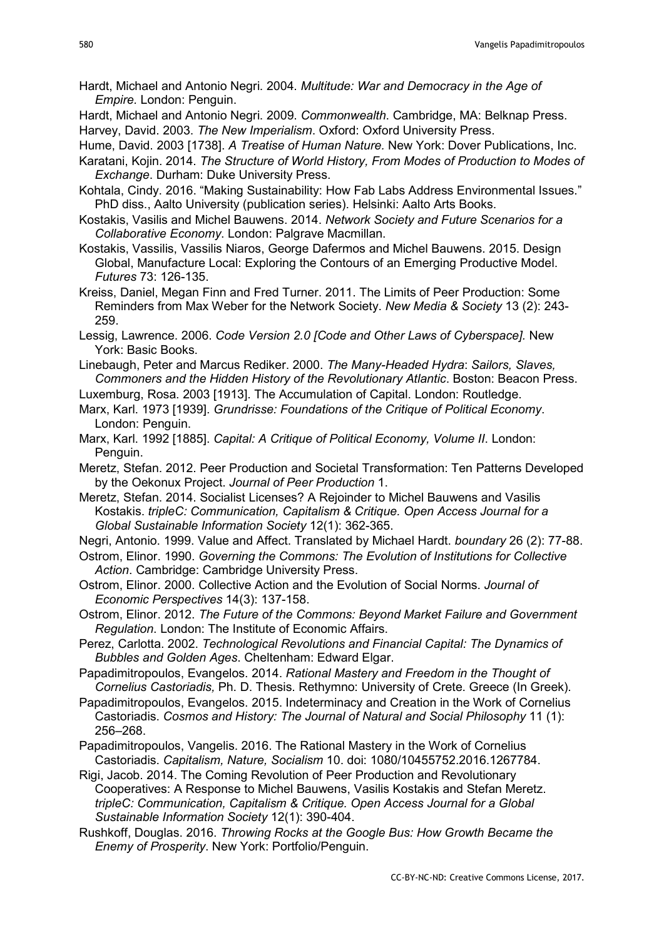- Hardt, Michael and Antonio Negri. 2004. Multitude: War and Democracy in the Age of Empire. London: Penguin.
- Hardt, Michael and Antonio Negri. 2009. Commonwealth. Cambridge, MA: Belknap Press. Harvey, David. 2003. The New Imperialism. Oxford: Oxford University Press.
- Hume, David. 2003 [1738]. A Treatise of Human Nature. New York: Dover Publications, Inc.
- Karatani, Kojin. 2014. The Structure of World History, From Modes of Production to Modes of Exchange. Durham: Duke University Press.
- Kohtala, Cindy. 2016. "Making Sustainability: How Fab Labs Address Environmental Issues." PhD diss., Aalto University (publication series). Helsinki: Aalto Arts Books.
- Kostakis, Vasilis and Michel Bauwens. 2014. Network Society and Future Scenarios for a Collaborative Economy. London: Palgrave Macmillan.
- Kostakis, Vassilis, Vassilis Niaros, George Dafermos and Michel Bauwens. 2015. Design Global, Manufacture Local: Exploring the Contours of an Emerging Productive Model. Futures 73: 126-135.

Kreiss, Daniel, Megan Finn and Fred Turner. 2011. The Limits of Peer Production: Some Reminders from Max Weber for the Network Society. New Media & Society 13 (2): 243- 259.

- Lessig, Lawrence. 2006. Code Version 2.0 [Code and Other Laws of Cyberspace]. New York: Basic Books.
- Linebaugh, Peter and Marcus Rediker. 2000. The Many-Headed Hydra: Sailors, Slaves, Commoners and the Hidden History of the Revolutionary Atlantic. Boston: Beacon Press.
- Luxemburg, Rosa. 2003 [1913]. The Accumulation of Capital. London: Routledge.
- Marx, Karl. 1973 [1939]. Grundrisse: Foundations of the Critique of Political Economy. London: Penguin.
- Marx, Karl. 1992 [1885]. Capital: A Critique of Political Economy, Volume II. London: Penguin.
- Meretz, Stefan. 2012. Peer Production and Societal Transformation: Ten Patterns Developed by the Oekonux Project. Journal of Peer Production 1.
- Meretz, Stefan. 2014. Socialist Licenses? A Rejoinder to Michel Bauwens and Vasilis Kostakis. tripleC: Communication, Capitalism & Critique. Open Access Journal for a Global Sustainable Information Society 12(1): 362-365.

Negri, Antonio. 1999. Value and Affect. Translated by Michael Hardt. boundary 26 (2): 77-88.

- Ostrom, Elinor. 1990. Governing the Commons: The Evolution of Institutions for Collective Action. Cambridge: Cambridge University Press.
- Ostrom, Elinor. 2000. Collective Action and the Evolution of Social Norms. Journal of Economic Perspectives 14(3): 137-158.
- Ostrom, Elinor. 2012. The Future of the Commons: Beyond Market Failure and Government Regulation. London: The Institute of Economic Affairs.
- Perez, Carlotta. 2002. Technological Revolutions and Financial Capital: The Dynamics of Bubbles and Golden Ages. Cheltenham: Edward Elgar.
- Papadimitropoulos, Evangelos. 2014. Rational Mastery and Freedom in the Thought of Cornelius Castoriadis, Ph. D. Thesis. Rethymno: University of Crete. Greece (In Greek).
- Papadimitropoulos, Evangelos. 2015. Indeterminacy and Creation in the Work of Cornelius Castoriadis. Cosmos and History: The Journal of Natural and Social Philosophy 11 (1): 256–268.
- Papadimitropoulos, Vangelis. 2016. The Rational Mastery in the Work of Cornelius Castoriadis. Capitalism, Nature, Socialism 10. doi: 1080/10455752.2016.1267784.
- Rigi, Jacob. 2014. The Coming Revolution of Peer Production and Revolutionary Cooperatives: A Response to Michel Bauwens, Vasilis Kostakis and Stefan Meretz. tripleC: Communication, Capitalism & Critique. Open Access Journal for a Global Sustainable Information Society 12(1): 390-404.
- Rushkoff, Douglas. 2016. Throwing Rocks at the Google Bus: How Growth Became the Enemy of Prosperity. New York: Portfolio/Penguin.